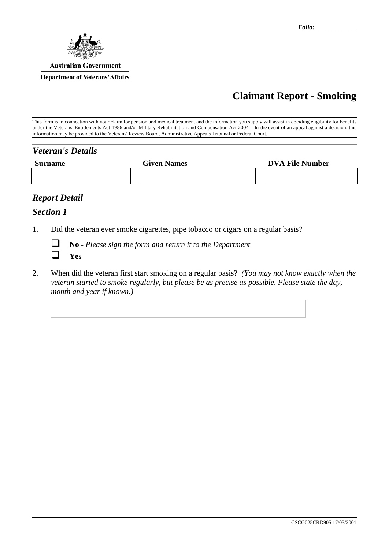

# **Claimant Report - Smoking**

This form is in connection with your claim for pension and medical treatment and the information you supply will assist in deciding eligibility for benefits under the Veterans' Entitlements Act 1986 and/or Military Rehabilitation and Compensation Act 2004. In the event of an appeal against a decision, this information may be provided to the Veterans' Review Board, Administrative Appeals Tribunal or Federal Court.

| <b>Veteran's Details</b> |                    |                        |
|--------------------------|--------------------|------------------------|
| <b>Surname</b>           | <b>Given Names</b> | <b>DVA File Number</b> |
|                          |                    |                        |
|                          |                    |                        |

## *Report Detail*

### *Section 1*

1. Did the veteran ever smoke cigarettes, pipe tobacco or cigars on a regular basis?



**No -** *Please sign the form and return it to the Department*

2. When did the veteran first start smoking on a regular basis? *(You may not know exactly when the veteran started to smoke regularly, but please be as precise as possible. Please state the day, month and year if known.)*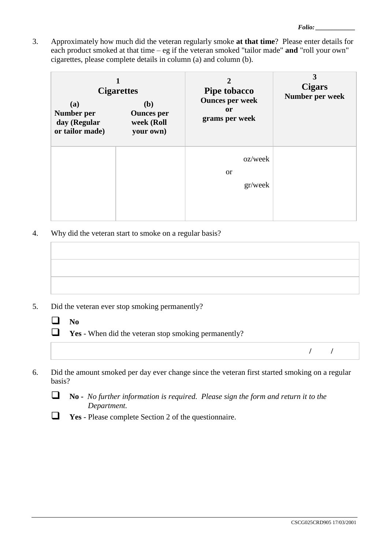3. Approximately how much did the veteran regularly smoke **at that time**? Please enter details for each product smoked at that time – eg if the veteran smoked "tailor made" **and** "roll your own" cigarettes, please complete details in column (a) and column (b).

| (a)<br>Number per<br>day (Regular<br>or tailor made) | <b>Cigarettes</b><br>( <b>b</b> )<br><b>Ounces</b> per<br>week (Roll<br>your own) | 2<br><b>Pipe tobacco</b><br><b>Ounces per week</b><br><sub>or</sub><br>grams per week | 3<br><b>Cigars</b><br>Number per week |
|------------------------------------------------------|-----------------------------------------------------------------------------------|---------------------------------------------------------------------------------------|---------------------------------------|
|                                                      |                                                                                   | oz/week<br><sub>or</sub><br>gr/week                                                   |                                       |

4. Why did the veteran start to smoke on a regular basis?

- 5. Did the veteran ever stop smoking permanently?
	- $\Box$  No
	- **The Ves** When did the veteran stop smoking permanently?

**/ /**

6. Did the amount smoked per day ever change since the veteran first started smoking on a regular basis?



- **No** *No further information is required. Please sign the form and return it to the Department.*
- **Yes**  Please complete Section 2 of the questionnaire.